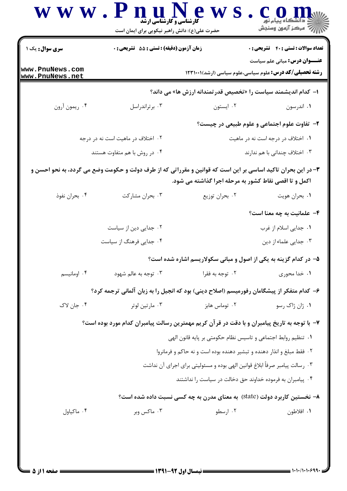| <b>سری سوال:</b> یک ۱              | زمان آزمون (دقیقه) : تستی : 55 آتشریحی : 0                                                                   |                                                                             | <b>تعداد سوالات : تستی : 40 - تشریحی : 0</b>                                                           |
|------------------------------------|--------------------------------------------------------------------------------------------------------------|-----------------------------------------------------------------------------|--------------------------------------------------------------------------------------------------------|
| www.PnuNews.com<br>www.PnuNews.net |                                                                                                              |                                                                             | <b>عنـــوان درس:</b> مبانی علم سیاست<br><b>رشته تحصیلی/کد درس:</b> علوم سیاسی،علوم سیاسی (ارشد)۱۲۳۱۰۰۱ |
|                                    |                                                                                                              |                                                                             | ا– کدام اندیشمند سیاست را «تخصیص قدر تمندانه ارزش ها» می داند؟                                         |
| ۰۴ ريمون آرون                      | ۰۳ بر تراندراسل                                                                                              | ۰۲ ايستون                                                                   | ۰۱ اندرسون                                                                                             |
|                                    |                                                                                                              |                                                                             | ۲- تفاوت علوم اجتماعی و علوم طبیعی در چیست؟                                                            |
|                                    | ۰۲ اختلاف در ماهیت است نه در درجه                                                                            |                                                                             | ۰۱ اختلاف در درجه است نه در ماهیت                                                                      |
|                                    | ۰۴ در روش با هم متفاوت هستند                                                                                 |                                                                             | ۰۳ اختلاف چندانی با هم ندارند                                                                          |
|                                    | ۳- در این بحران تاکید اساسی بر این است که قوانین و مقرراتی که از طرف دولت و حکومت وضع می گردد، به نحو احسن و | اکمل و تا اقصی نقاط کشور به مرحله اجرا گذاشته می شود.                       |                                                                                                        |
| ۰۴ بحران نفوذ                      | ۰۳ بحران مشاركت                                                                                              | ۰۲ بحران توزيع                                                              | ۰۱ بحران هويت                                                                                          |
|                                    |                                                                                                              |                                                                             | <b>۴</b> - علمانیت به چه معنا است؟                                                                     |
|                                    | ۰۲ جدایی دین از سیاست                                                                                        |                                                                             | ٠١ جدايي اسلام از غرب                                                                                  |
|                                    | ۰۴ جدایی فرهنگ از سیاست                                                                                      |                                                                             | ۰۳ جدایی علماء از دین                                                                                  |
|                                    |                                                                                                              |                                                                             | ۵– در کدام گزینه به یکی از اصول و مبانی سکولاریسم اشاره شده است؟                                       |
| ۰۴ اومانیسم                        | ۰۳ توجه به عالم شهود                                                                                         | ۰۲ توجه به فقرا                                                             | ٠١ خدا محوري                                                                                           |
|                                    | ۶– کدام متفکر از پیشگامان رفورمیسم (اصلاح دینی) بود که انجیل را به زبان آلمانی ترجمه کرد؟                    |                                                                             |                                                                                                        |
| ۰۴ جان لاک                         | ۰۳ مارتين لوتر                                                                                               | ۰۲ توماس هابز                                                               | ۰۱ ژان ژاک رسو                                                                                         |
|                                    | ۷– با توجه به تاریخ پیامبران و با دقت در قرآن کریم مهمترین رسالت پیامبران کدام مورد بوده است؟                |                                                                             |                                                                                                        |
|                                    |                                                                                                              | ٠١ تنظيم روابط اجتماعي و تاسيس نظام حكومتي بر پايه قانون الهي               |                                                                                                        |
|                                    |                                                                                                              | ۰۲ فقط مبلغ و انذار دهنده و تبشیر دهنده بوده است و نه حاکم و فرمانروا       |                                                                                                        |
|                                    |                                                                                                              | ۰۳ رسالت پیامبر صرفاً ابلاغ قوانین الهی بوده و مسئولیتی برای اجرای آن نداشت |                                                                                                        |
|                                    |                                                                                                              | ۰۴ پیامبران به فرموده خداوند حق دخالت در سیاست را نداشتند                   |                                                                                                        |
|                                    | ۸– نخستین کاربرد دولت (state) به معنای مدرن به چه کسی نسبت داده شده است؟                                     |                                                                             |                                                                                                        |
| ۰۴ ماكياول                         | ۰۳ ماکس وبر                                                                                                  | ۰۲ ارسطو                                                                    | ٠١. افلاطون                                                                                            |

= 1・1・/1・1・۶٩٩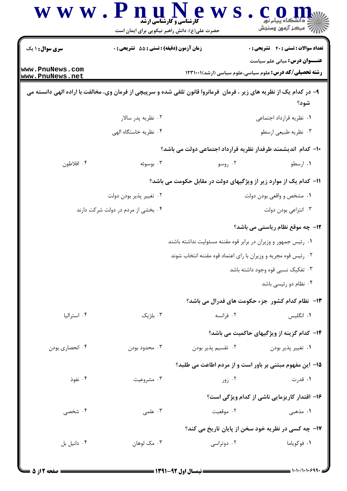|                                    | www.PnuNews<br><b>کارشناسی و کارشناسی ارشد</b><br>حضرت علی(ع): دانش راهبر نیکویی برای ایمان است                     |                                                                | ⊠ دانشڪاه پيام نور<br> ∛  مرکز آزمون وسنڊش                                           |
|------------------------------------|---------------------------------------------------------------------------------------------------------------------|----------------------------------------------------------------|--------------------------------------------------------------------------------------|
| <b>سری سوال : ۱ یک</b>             | زمان آزمون (دقیقه) : تستی : 55 تشریحی : 0                                                                           |                                                                | <b>تعداد سوالات : تستي : 40 ٪ تشريحي : 0</b><br><b>عنـــوان درس:</b> مبانی علم سیاست |
| www.PnuNews.com<br>www.PnuNews.net |                                                                                                                     |                                                                | <b>رشته تحصیلی/کد درس:</b> علوم سیاسی،علوم سیاسی (ارشد)۱۲۳۱۰۰۱                       |
|                                    | ۹- در کدام یک از نظریه های زیر ، فرمان فرمانروا قانون تلقی شده و سرپیچی از فرمان وی، مخالفت با اراده الهی دانسته می |                                                                | شود؟                                                                                 |
|                                    | ۰۲ نظریه پدر سالار                                                                                                  |                                                                | ٠١ نظريه قرارداد اجتماعي                                                             |
|                                    | ۰۴ نظریه خاستگاه الهی                                                                                               |                                                                | ۰۳ نظریه طبیعی ارسطو                                                                 |
|                                    |                                                                                                                     |                                                                | ۱۰– کدام اندیشمند طرفدار نظریه قرارداد اجتماعی دولت می باشد؟                         |
| ۰۴ افلاطون                         | ۰۳ بوسوئه                                                                                                           | ۰۲ روسو                                                        | ۰۱ ارسطو                                                                             |
|                                    |                                                                                                                     |                                                                | 11- کدام یک از موارد زیر از ویژگیهای دولت در مقابل حکومت می باشد؟                    |
|                                    | ۰۲ تغيير پذير بودن دولت                                                                                             |                                                                | ۰۱ مشخص و واقعی بودن دولت                                                            |
|                                    | ۰۴ بخشی از مردم در دولت شرکت دارند                                                                                  |                                                                | ۰۳ انتزاعی بودن دولت                                                                 |
|                                    |                                                                                                                     |                                                                | 1۲- چه موقع نظام ریاستی می باشد؟                                                     |
|                                    |                                                                                                                     | ۰۱ رئیس جمهور و وزیران در برابر قوه مقننه مسئولیت نداشته باشند |                                                                                      |
|                                    |                                                                                                                     | ۰۲ رئیس قوه مجریه و وزیران با رای اعتماد قوه مقننه انتخاب شوند |                                                                                      |
|                                    |                                                                                                                     |                                                                | ۰۳ تفکیک نسبی قوه وجود داشته باشد                                                    |
|                                    |                                                                                                                     |                                                                | ۰۴ نظام دو رئیسی باشد                                                                |
|                                    |                                                                                                                     |                                                                | ۱۳- نظام کدام کشور جزء حکومت های فدرال می باشد؟                                      |
| ۰۴ استرالیا                        | ۰۳ بلژیک                                                                                                            | ۰۲ فرانسه                                                      | ۰۱ انگلیس                                                                            |
|                                    |                                                                                                                     |                                                                | ۱۴– کدام گزینه از ویژگیهای حاکمیت می باشد؟                                           |
| ۰۴ انحصاری بودن                    | ۰۳ محدود بودن                                                                                                       | ٠٢ تقسيم پذير بودن                                             | ۰۱ تغییر پذیر بودن                                                                   |
|                                    |                                                                                                                     |                                                                | ۱۵– این مفهوم مبتنی بر باور است و از مردم اطاعت می طلبد؟                             |
| ۰۴ نفوذ                            | ۰۳ مشروعیت                                                                                                          | ۰۲ زور $\cdot$                                                 | ۰۱ قدرت                                                                              |
|                                    |                                                                                                                     |                                                                | ۱۶– اقتدار کاریزمایی ناشی از کدام ویژگی است؟                                         |
| ۰۴ شخصی                            | ۰۳ علمی $\cdot$                                                                                                     | ۰۲ موقعیت                                                      | ۱. مذهبی                                                                             |
|                                    |                                                                                                                     |                                                                | ۱۷- چه کسی در نظریه خود سخن از پایان تاریخ می کند؟                                   |
| ۰۴ دانيل بل                        | ۰۳ مک لوهان                                                                                                         | ۰۲ دوتراسی                                                     | ۰۱ فوکویاما                                                                          |
|                                    |                                                                                                                     |                                                                |                                                                                      |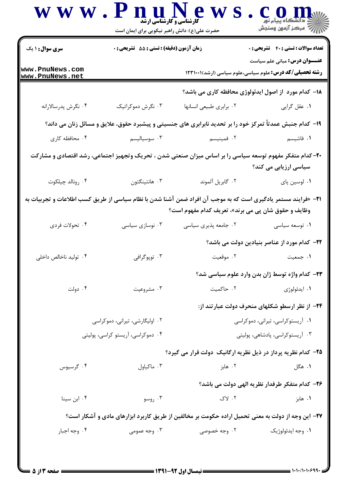| <b>سری سوال : ۱ یک</b>             | <b>زمان آزمون (دقیقه) : تستی : 55 تشریحی : 0</b> |                                                                                                                                                                      | <b>تعداد سوالات : تستي : 40 - تشريحي : 0</b>                                                           |
|------------------------------------|--------------------------------------------------|----------------------------------------------------------------------------------------------------------------------------------------------------------------------|--------------------------------------------------------------------------------------------------------|
| www.PnuNews.com<br>www.PnuNews.net |                                                  |                                                                                                                                                                      | <b>عنـــوان درس:</b> مبانی علم سیاست<br><b>رشته تحصیلی/کد درس:</b> علوم سیاسی،علوم سیاسی (ارشد)۱۲۳۱۰۰۱ |
|                                    |                                                  |                                                                                                                                                                      | ۱۸– کدام مورد از اصول ایدئولوژی محافظه کاری می باشد؟                                                   |
| ۰۴ نگرش پدرسالارانه                | ۰۳ نگرش دموکراتیک                                | ۰۲ برابري طبيعي انسانها                                                                                                                                              | ۰۱ عقل گرايي                                                                                           |
|                                    |                                                  | ۱۹- کدام جنبش عمدتاً تمرکز خود را بر تحدید نابرابری های جنسیتی و پیشبرد حقوق، علایق و مسائل زنان می داند؟                                                            |                                                                                                        |
| ۰۴ محافظه کاری                     | ۰۳ سوسیالیسم                                     | ۰۲ فمینیسم                                                                                                                                                           | ۰۱ فاشیسم                                                                                              |
|                                    |                                                  | ۲۰– کدام متفکر مفهوم توسعه سیاسی را بر اساس میزان صنعتی شدن ، تحریک وتجهیز اجتماعی، رشد اقتصادی و مشارکت                                                             | سیاسی ارزیابی می کند؟                                                                                  |
| ۰۴ رونالد چيلکوت                   | ۰۳ هانتينگتون                                    | ٠٢ گابريل آلموند                                                                                                                                                     | ۰۱ لوسین پای                                                                                           |
|                                    |                                                  | 21- «فرایند مستمر یادگیری است که به موجب آن افراد ضمن آشنا شدن با نظام سیاسی از طریق کسب اطلاعات و تجربیات به<br>وظایف و حقوق شان پی می برند»، تعریف کدام مفهوم است؟ |                                                                                                        |
| ۰۴ تحولات فردي                     | ۰۳ نوسازی سیاسی                                  | ۰۲ جامعه پذیری سیاسی                                                                                                                                                 | ۰۱ توسعه سیاسی                                                                                         |
|                                    |                                                  |                                                                                                                                                                      | <b>۲۲</b> – کدام مورد از عناصر بنیادین دولت می باشد؟                                                   |
| ۰۴ تولید ناخالص داخلی              | ۰۳ توپوگرافي                                     | ۰۲ موقعیت                                                                                                                                                            | ۰۱ جمعیت                                                                                               |
|                                    |                                                  |                                                                                                                                                                      | ٢٣- كدام واژه توسط ژان بدن وارد علوم سياسي شد؟                                                         |
| ۰۴ دولت                            | ۰۳ مشروعیت                                       | ۰۲ حاکمیت                                                                                                                                                            | ۰۱ ايدئولوژي                                                                                           |
|                                    |                                                  |                                                                                                                                                                      | ۲۴- از نظر ارسطو شکلهای منحرف دولت عبارتند از:                                                         |
|                                    | ۰۲ اولیگارشی، تیرانی، دموکراسی                   |                                                                                                                                                                      | ٠١ آريستوكراسى، تيرانى، دموكراسى                                                                       |
|                                    | ۰۴ دموکراسی، آریستو کراسی، پولیتی                |                                                                                                                                                                      | ۰۳ آریستوکراسی، پادشاهی، پولیتی                                                                        |
|                                    |                                                  | ۲۵– کدام نظریه پرداز در ذیل نظریه ارگانیک دولت قرار می گیرد؟                                                                                                         |                                                                                                        |
| ۰۴ گرسیوس                          | ۰۳ ماکیاول                                       | ۰۲ هابز                                                                                                                                                              | ۰۱ هگل                                                                                                 |
|                                    |                                                  |                                                                                                                                                                      | ۲۶- کدام متفکر طرفدار نظریه الهی دولت می باشد؟                                                         |
| ۰۴ ابن سينا                        | ۰۳ روسو                                          | ۰۲ لاک                                                                                                                                                               | ۰۱ هابز                                                                                                |
|                                    |                                                  | ۲۷- این وجه از دولت به معنی تحمیل اراده حکومت بر مخالفین از طریق کاربرد ابزارهای مادی و آشکار است؟                                                                   |                                                                                                        |
|                                    |                                                  | ۰۲ وجه خصوصی                                                                                                                                                         | ۰۱ وجه ايدئولوژيک                                                                                      |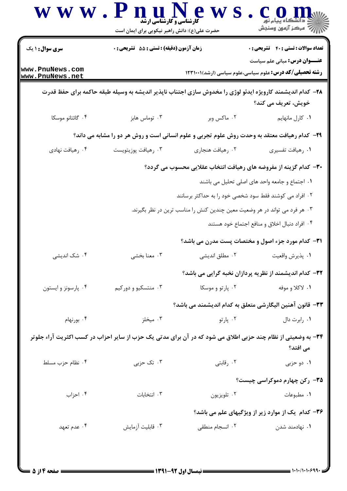| <b>سری سوال :</b> ۱ یک             | زمان آزمون (دقیقه) : تستی : 55 آتشریحی : 0                                                                   |                                                                            | <b>تعداد سوالات : تستی : 40 - تشریحی : 0</b>                                                           |
|------------------------------------|--------------------------------------------------------------------------------------------------------------|----------------------------------------------------------------------------|--------------------------------------------------------------------------------------------------------|
| www.PnuNews.com<br>www.PnuNews.net |                                                                                                              |                                                                            | <b>عنـــوان درس:</b> مبانی علم سیاست<br><b>رشته تحصیلی/کد درس:</b> علوم سیاسی،علوم سیاسی (ارشد)۱۲۳۱۰۰۱ |
|                                    | ۲۸– کدام اندیشمند کارویژه ایدئو لوژی را مخدوش سازی اجتناب ناپذیر اندیشه به وسیله طبقه حاکمه برای حفظ قدرت    |                                                                            |                                                                                                        |
|                                    |                                                                                                              |                                                                            | خویش، تعریف می کند؟                                                                                    |
| ۰۴ گائتانو موسکا                   | ۰۳ توماس هابز                                                                                                | ۰۲ ماکس وبر                                                                | ٠١ كارل مانهايم                                                                                        |
|                                    | ۲۹- کدام رهیافت معتقد به وحدت روش علوم تجربی و علوم انسانی است و روش هر دو را مشابه می داند؟                 |                                                                            |                                                                                                        |
| ۰۴ رهيافت نهادي                    | ۰۳ رهيافت پوزيتويست                                                                                          | ۰۲ رهيافت هنجاري                                                           | ٠١ رهيافت تفسيري                                                                                       |
|                                    |                                                                                                              |                                                                            | ۳۰- کدام گزینه از مفروضه های رهیافت انتخاب عقلایی محسوب می گردد؟                                       |
|                                    |                                                                                                              |                                                                            | ۰۱ اجتماع و جامعه واحد های اصلی تحلیل می باشند                                                         |
|                                    |                                                                                                              | ۰۲ افراد می کوشند فقط سود شخصی خود را به حداکثر برسانند                    |                                                                                                        |
|                                    |                                                                                                              | ۰۳ هر فرد می تواند در هر وضعیت معین چندین کنش را مناسب ترین در نظر بگیرند. |                                                                                                        |
|                                    |                                                                                                              |                                                                            | ۰۴ افراد دنبال اخلاق و منافع اجتماع خود هستند                                                          |
|                                    |                                                                                                              |                                                                            | <b>۳۱</b> - کدام مورد جزء اصول و مختصات پست مدرن می باشد؟                                              |
| ۰۴ شک اندیشی                       | ۰۳ معنا بخشي                                                                                                 | ۰۲ مطلق اندیشی                                                             | ٠١ پذيرش واقعيت                                                                                        |
|                                    |                                                                                                              |                                                                            | ۳۲- کدام اندیشمند از نظریه پردازان نخبه گرایی می باشد؟                                                 |
| ۰۴ پارسونز و ایستون                | ۰۳ منتسکیو و دورکیم                                                                                          | ۰۲ پارتو و موسکا                                                           | ۰۱ لاکلا و موفه                                                                                        |
|                                    |                                                                                                              |                                                                            | ٣٣- قانون آهنين اليگارشي متعلق به كدام انديشمند مي باشد؟                                               |
| ۰۴ بورنهام                         | ۰۳ میخلز                                                                                                     | ۰۲ پارتو                                                                   | ۰۱ رابرت دال                                                                                           |
|                                    | ۳۴- به وضعیتی از نظام چند حزبی اطلاق می شود که در آن برای مدتی یک حزب از سایر احزاب در کسب اکثریت آراء جلوتر |                                                                            | می افتد؟                                                                                               |
| ۰۴ نظام حزب مسلط                   | ۰۳ تک حزبی                                                                                                   | ۰۲ رقابتی                                                                  | ۰۱ دو حزبی                                                                                             |
|                                    |                                                                                                              |                                                                            | <b>۳۵</b> - رکن چهارم دموکراسی چیست؟                                                                   |
| ۰۴ احزاب                           | ۰۳ انتخابات                                                                                                  | ۰۲ تلويزيون                                                                | ۰۱ مطبوعات                                                                                             |
|                                    |                                                                                                              |                                                                            | ۳۶- کدام یک از موارد زیر از ویژگیهای علم می باشد؟                                                      |
| ۰۴ عدم تعهد                        | ۰۳ قابلیت آزمایش                                                                                             | ۰۲ انسجام منطقی                                                            | ۰۱ نهادمند شدن                                                                                         |